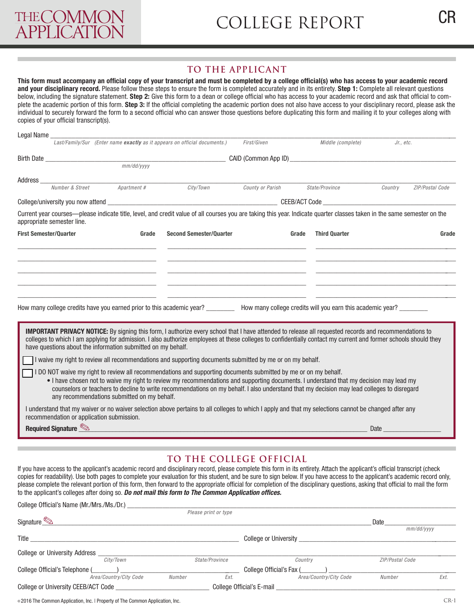## **TO THE APPLICANT**

**This form must accompany an official copy of your transcript and must be completed by a college official(s) who has access to your academic record and your disciplinary record.** Please follow these steps to ensure the form is completed accurately and in its entirety. **Step 1:** Complete all relevant questions below, including the signature statement. **Step 2:** Give this form to a dean or college official who has access to your academic record and ask that official to complete the academic portion of this form. **Step 3:** If the official completing the academic portion does not also have access to your disciplinary record, please ask the individual to securely forward the form to a second official who can answer those questions before duplicating this form and mailing it to your colleges along with copies of your official transcript(s).

| Legal Name                    |                            |                                                                                                                                                                                                                                                                                                                                                                                                                                                                                         |                                |                  |                               |           |                 |  |
|-------------------------------|----------------------------|-----------------------------------------------------------------------------------------------------------------------------------------------------------------------------------------------------------------------------------------------------------------------------------------------------------------------------------------------------------------------------------------------------------------------------------------------------------------------------------------|--------------------------------|------------------|-------------------------------|-----------|-----------------|--|
|                               |                            | Last/Family/Sur (Enter name exactly as it appears on official documents.)                                                                                                                                                                                                                                                                                                                                                                                                               |                                | First/Given      | Middle (complete)             | Jr., etc. |                 |  |
|                               |                            |                                                                                                                                                                                                                                                                                                                                                                                                                                                                                         |                                |                  |                               |           |                 |  |
|                               |                            |                                                                                                                                                                                                                                                                                                                                                                                                                                                                                         |                                |                  |                               |           |                 |  |
|                               |                            |                                                                                                                                                                                                                                                                                                                                                                                                                                                                                         |                                |                  |                               |           |                 |  |
|                               | Number & Street            | Apartment #                                                                                                                                                                                                                                                                                                                                                                                                                                                                             | City/Town                      | County or Parish | State/Province                | Country   | ZIP/Postal Code |  |
|                               |                            |                                                                                                                                                                                                                                                                                                                                                                                                                                                                                         |                                |                  |                               |           |                 |  |
|                               | appropriate semester line. | Current year courses—please indicate title, level, and credit value of all courses you are taking this year. Indicate quarter classes taken in the same semester on the                                                                                                                                                                                                                                                                                                                 |                                |                  |                               |           |                 |  |
| <b>First Semester/Quarter</b> |                            | Grade                                                                                                                                                                                                                                                                                                                                                                                                                                                                                   | <b>Second Semester/Quarter</b> |                  | <b>Third Quarter</b><br>Grade |           | Grade           |  |
|                               |                            | How many college credits have you earned prior to this academic year? __________ How many college credits will you earn this academic year? ________<br><b>IMPORTANT PRIVACY NOTICE:</b> By signing this form, I authorize every school that I have attended to release all requested records and recommendations to<br>colleges to which I am applying for admission. I also authorize employees at these colleges to confidentially contact my current and former schools should they |                                |                  |                               |           |                 |  |
|                               |                            | have questions about the information submitted on my behalf.<br>I waive my right to review all recommendations and supporting documents submitted by me or on my behalf.                                                                                                                                                                                                                                                                                                                |                                |                  |                               |           |                 |  |
|                               |                            | I DO NOT waive my right to review all recommendations and supporting documents submitted by me or on my behalf.<br>. I have chosen not to waive my right to review my recommendations and supporting documents. I understand that my decision may lead my<br>counselors or teachers to decline to write recommendations on my behalf. I also understand that my decision may lead colleges to disregard<br>any recommendations submitted on my behalf.                                  |                                |                  |                               |           |                 |  |
|                               |                            | I understand that my waiver or no waiver selection above pertains to all colleges to which I apply and that my selections cannot be changed after any<br>recommendation or application submission.                                                                                                                                                                                                                                                                                      |                                |                  |                               |           |                 |  |
|                               | Required Signature         |                                                                                                                                                                                                                                                                                                                                                                                                                                                                                         |                                |                  |                               | Date      |                 |  |

## **TO THE COLLEGE OFFICIAL**

If you have access to the applicant's academic record and disciplinary record, please complete this form in its entirety. Attach the applicant's official transcript (check copies for readability). Use both pages to complete your evaluation for this student, and be sure to sign below. If you have access to the applicant's academic record only, please complete the relevant portion of this form, then forward to the appropriate official for completion of the disciplinary questions, asking that official to mail the form to the applicant's colleges after doing so. *Do not mail this form to The Common Application offices.* 

| College Official's Name (Mr./Mrs./Ms./Dr.) |                      |                              |                 |      |
|--------------------------------------------|----------------------|------------------------------|-----------------|------|
|                                            | Please print or type |                              |                 |      |
| Signature                                  |                      |                              | Date            |      |
|                                            |                      |                              | $mm/dd/$ yyyy   |      |
| Title                                      |                      | <b>College or University</b> |                 |      |
| College or University Address              |                      |                              |                 |      |
| City/Town                                  | State/Province       | Country                      | ZIP/Postal Code |      |
| College Official's Telephone (             |                      | College Official's Fax (     |                 |      |
| Area/Country/City Code                     | Ext.<br>Number       | Area/Country/City Code       | Number          | Ext. |
| College or University CEEB/ACT Code _      |                      | College Official's E-mail    |                 |      |
|                                            |                      |                              |                 |      |

© 2016 The Common Application, Inc. | Property of The Common Application, Inc.